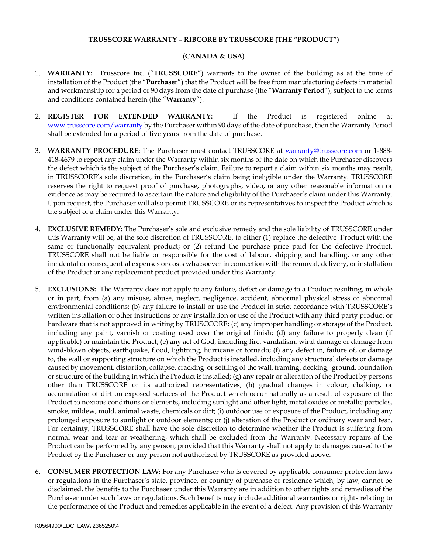## **TRUSSCORE WARRANTY – RIBCORE BY TRUSSCORE (THE "PRODUCT")**

## **(CANADA & USA)**

- 1. **WARRANTY:** Trusscore Inc. ("**TRUSSCORE**") warrants to the owner of the building as at the time of installation of the Product (the "**Purchaser**") that the Product will be free from manufacturing defects in material and workmanship for a period of 90 days from the date of purchase (the "**Warranty Period**"), subject to the terms and conditions contained herein (the "**Warranty**").
- 2. **REGISTER FOR EXTENDED WARRANTY:** If the Product is registered online at [www.trusscore.com/warranty](http://www.trusscore.com/warranty) by the Purchaser within 90 days of the date of purchase, then the Warranty Period shall be extended for a period of five years from the date of purchase.
- 3. **WARRANTY PROCEDURE:** The Purchaser must contact TRUSSCORE at [warranty@trusscore.com](mailto:warranty@trusscore.com) or 1-888- 418-4679 to report any claim under the Warranty within six months of the date on which the Purchaser discovers the defect which is the subject of the Purchaser's claim. Failure to report a claim within six months may result, in TRUSSCORE's sole discretion, in the Purchaser's claim being ineligible under the Warranty. TRUSSCORE reserves the right to request proof of purchase, photographs, video, or any other reasonable information or evidence as may be required to ascertain the nature and eligibility of the Purchaser's claim under this Warranty. Upon request, the Purchaser will also permit TRUSSCORE or its representatives to inspect the Product which is the subject of a claim under this Warranty.
- 4. **EXCLUSIVE REMEDY:** The Purchaser's sole and exclusive remedy and the sole liability of TRUSSCORE under this Warranty will be, at the sole discretion of TRUSSCORE, to either (1) replace the defective Product with the same or functionally equivalent product; or (2) refund the purchase price paid for the defective Product. TRUSSCORE shall not be liable or responsible for the cost of labour, shipping and handling, or any other incidental or consequential expenses or costs whatsoever in connection with the removal, delivery, or installation of the Product or any replacement product provided under this Warranty.
- 5. **EXCLUSIONS:** The Warranty does not apply to any failure, defect or damage to a Product resulting, in whole or in part, from (a) any misuse, abuse, neglect, negligence, accident, abnormal physical stress or abnormal environmental conditions; (b) any failure to install or use the Product in strict accordance with TRUSSCORE's written installation or other instructions or any installation or use of the Product with any third party product or hardware that is not approved in writing by TRUSCCORE; (c) any improper handling or storage of the Product, including any paint, varnish or coating used over the original finish; (d) any failure to properly clean (if applicable) or maintain the Product; (e) any act of God, including fire, vandalism, wind damage or damage from wind-blown objects, earthquake, flood, lightning, hurricane or tornado; (f) any defect in, failure of, or damage to, the wall or supporting structure on which the Product is installed, including any structural defects or damage caused by movement, distortion, collapse, cracking or settling of the wall, framing, decking, ground, foundation or structure of the building in which the Product is installed; (g) any repair or alteration of the Product by persons other than TRUSSCORE or its authorized representatives; (h) gradual changes in colour, chalking, or accumulation of dirt on exposed surfaces of the Product which occur naturally as a result of exposure of the Product to noxious conditions or elements, including sunlight and other light, metal oxides or metallic particles, smoke, mildew, mold, animal waste, chemicals or dirt; (i) outdoor use or exposure of the Product, including any prolonged exposure to sunlight or outdoor elements; or (j) alteration of the Product or ordinary wear and tear. For certainty, TRUSSCORE shall have the sole discretion to determine whether the Product is suffering from normal wear and tear or weathering, which shall be excluded from the Warranty. Necessary repairs of the Product can be performed by any person, provided that this Warranty shall not apply to damages caused to the Product by the Purchaser or any person not authorized by TRUSSCORE as provided above.
- 6. **CONSUMER PROTECTION LAW:** For any Purchaser who is covered by applicable consumer protection laws or regulations in the Purchaser's state, province, or country of purchase or residence which, by law, cannot be disclaimed, the benefits to the Purchaser under this Warranty are in addition to other rights and remedies of the Purchaser under such laws or regulations. Such benefits may include additional warranties or rights relating to the performance of the Product and remedies applicable in the event of a defect. Any provision of this Warranty